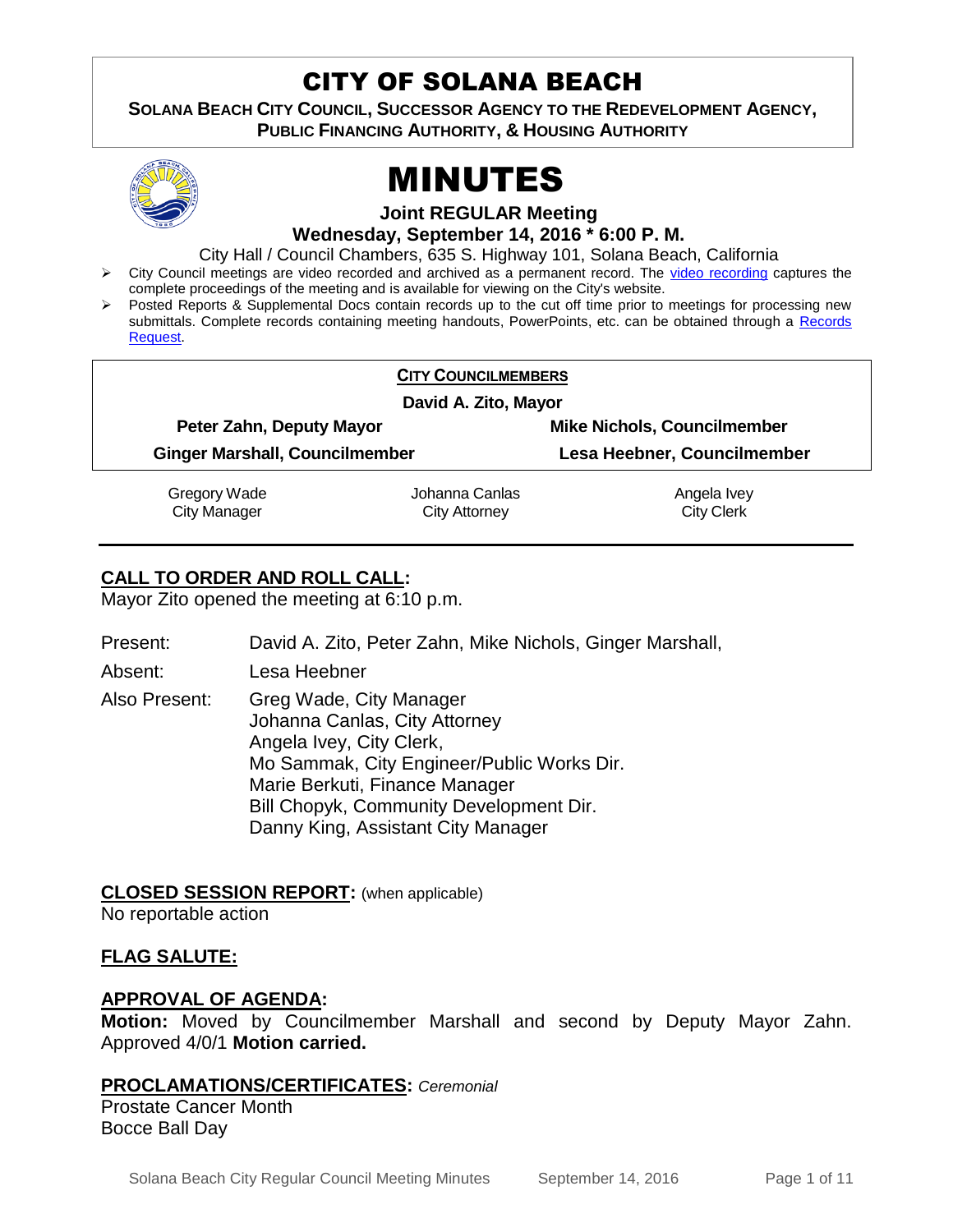# CITY OF SOLANA BEACH

9 **SOLANA BEACH CITY COUNCIL, SUCCESSOR AGENCY TO THE REDEVELOPMENT AGENCY, PUBLIC FINANCING AUTHORITY, & HOUSING AUTHORITY** 



# MINUTES

**Joint REGULAR Meeting**

**Wednesday, September 14, 2016 \* 6:00 P. M.**

City Hall / Council Chambers, 635 S. Highway 101, Solana Beach, California

- > City Council meetings are video recorded and archived as a permanent record. The [video recording](https://solanabeach.12milesout.com/video/meeting/b186408e-a51a-4823-9eb7-37841830d894) captures the complete proceedings of the meeting and is available for viewing on the City's website.
- Posted Reports & Supplemental Docs contain records up to the cut off time prior to meetings for processing new submittals. Complete records containing meeting handouts, PowerPoints, etc. can be obtained through a Records [Request.](http://www.ci.solana-beach.ca.us/index.asp?SEC=F5D45D10-70CE-4291-A27C-7BD633FC6742&Type=B_BASIC)

|                                                                   | <b>CITY COUNCILMEMBERS</b> |                                    |  |
|-------------------------------------------------------------------|----------------------------|------------------------------------|--|
| David A. Zito, Mayor                                              |                            |                                    |  |
| Peter Zahn, Deputy Mayor<br><b>Ginger Marshall, Councilmember</b> |                            | <b>Mike Nichols, Councilmember</b> |  |
|                                                                   |                            | Lesa Heebner, Councilmember        |  |
| Gregory Wade                                                      | Johanna Canlas             | Angela Ivey                        |  |
| <b>City Manager</b>                                               | City Attorney              | <b>City Clerk</b>                  |  |

# **CALL TO ORDER AND ROLL CALL:**

Mayor Zito opened the meeting at 6:10 p.m.

- Present: David A. Zito, Peter Zahn, Mike Nichols, Ginger Marshall,
- Absent: Lesa Heebner
- Also Present: Greg Wade, City Manager Johanna Canlas, City Attorney Angela Ivey, City Clerk, Mo Sammak, City Engineer/Public Works Dir. Marie Berkuti, Finance Manager Bill Chopyk, Community Development Dir. Danny King, Assistant City Manager

# **CLOSED SESSION REPORT:** (when applicable)

No reportable action

# **FLAG SALUTE:**

# **APPROVAL OF AGENDA:**

**Motion:** Moved by Councilmember Marshall and second by Deputy Mayor Zahn. Approved 4/0/1 **Motion carried.**

# **PROCLAMATIONS/CERTIFICATES:** *Ceremonial*

Prostate Cancer Month Bocce Ball Day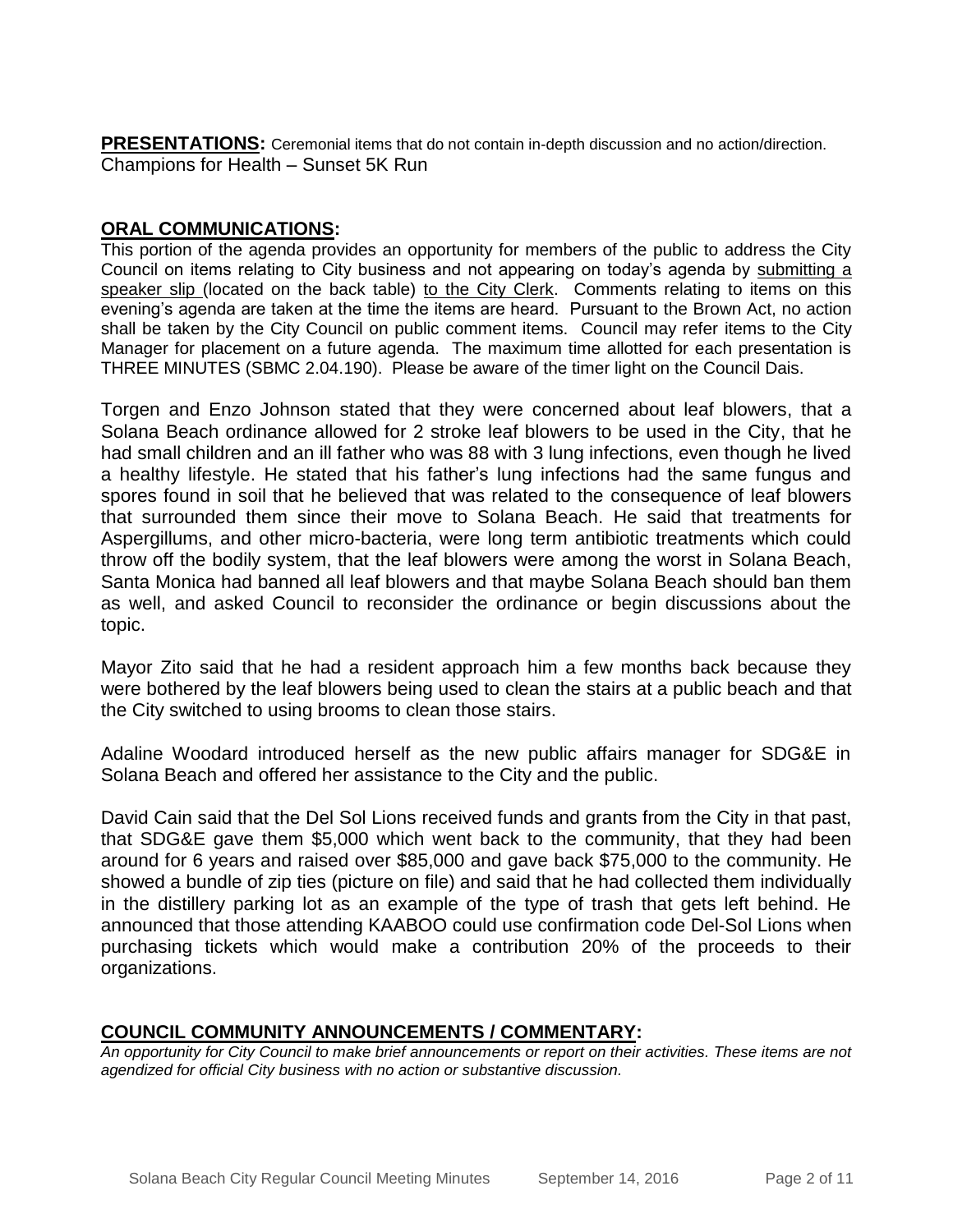**PRESENTATIONS:** Ceremonial items that do not contain in-depth discussion and no action/direction. Champions for Health – Sunset 5K Run

## **ORAL COMMUNICATIONS:**

This portion of the agenda provides an opportunity for members of the public to address the City Council on items relating to City business and not appearing on today's agenda by submitting a speaker slip (located on the back table) to the City Clerk. Comments relating to items on this evening's agenda are taken at the time the items are heard. Pursuant to the Brown Act, no action shall be taken by the City Council on public comment items. Council may refer items to the City Manager for placement on a future agenda. The maximum time allotted for each presentation is THREE MINUTES (SBMC 2.04.190). Please be aware of the timer light on the Council Dais.

Torgen and Enzo Johnson stated that they were concerned about leaf blowers, that a Solana Beach ordinance allowed for 2 stroke leaf blowers to be used in the City, that he had small children and an ill father who was 88 with 3 lung infections, even though he lived a healthy lifestyle. He stated that his father's lung infections had the same fungus and spores found in soil that he believed that was related to the consequence of leaf blowers that surrounded them since their move to Solana Beach. He said that treatments for Aspergillums, and other micro-bacteria, were long term antibiotic treatments which could throw off the bodily system, that the leaf blowers were among the worst in Solana Beach, Santa Monica had banned all leaf blowers and that maybe Solana Beach should ban them as well, and asked Council to reconsider the ordinance or begin discussions about the topic.

Mayor Zito said that he had a resident approach him a few months back because they were bothered by the leaf blowers being used to clean the stairs at a public beach and that the City switched to using brooms to clean those stairs.

Adaline Woodard introduced herself as the new public affairs manager for SDG&E in Solana Beach and offered her assistance to the City and the public.

David Cain said that the Del Sol Lions received funds and grants from the City in that past, that SDG&E gave them \$5,000 which went back to the community, that they had been around for 6 years and raised over \$85,000 and gave back \$75,000 to the community. He showed a bundle of zip ties (picture on file) and said that he had collected them individually in the distillery parking lot as an example of the type of trash that gets left behind. He announced that those attending KAABOO could use confirmation code Del-Sol Lions when purchasing tickets which would make a contribution 20% of the proceeds to their organizations.

# **COUNCIL COMMUNITY ANNOUNCEMENTS / COMMENTARY:**

*An opportunity for City Council to make brief announcements or report on their activities. These items are not agendized for official City business with no action or substantive discussion.*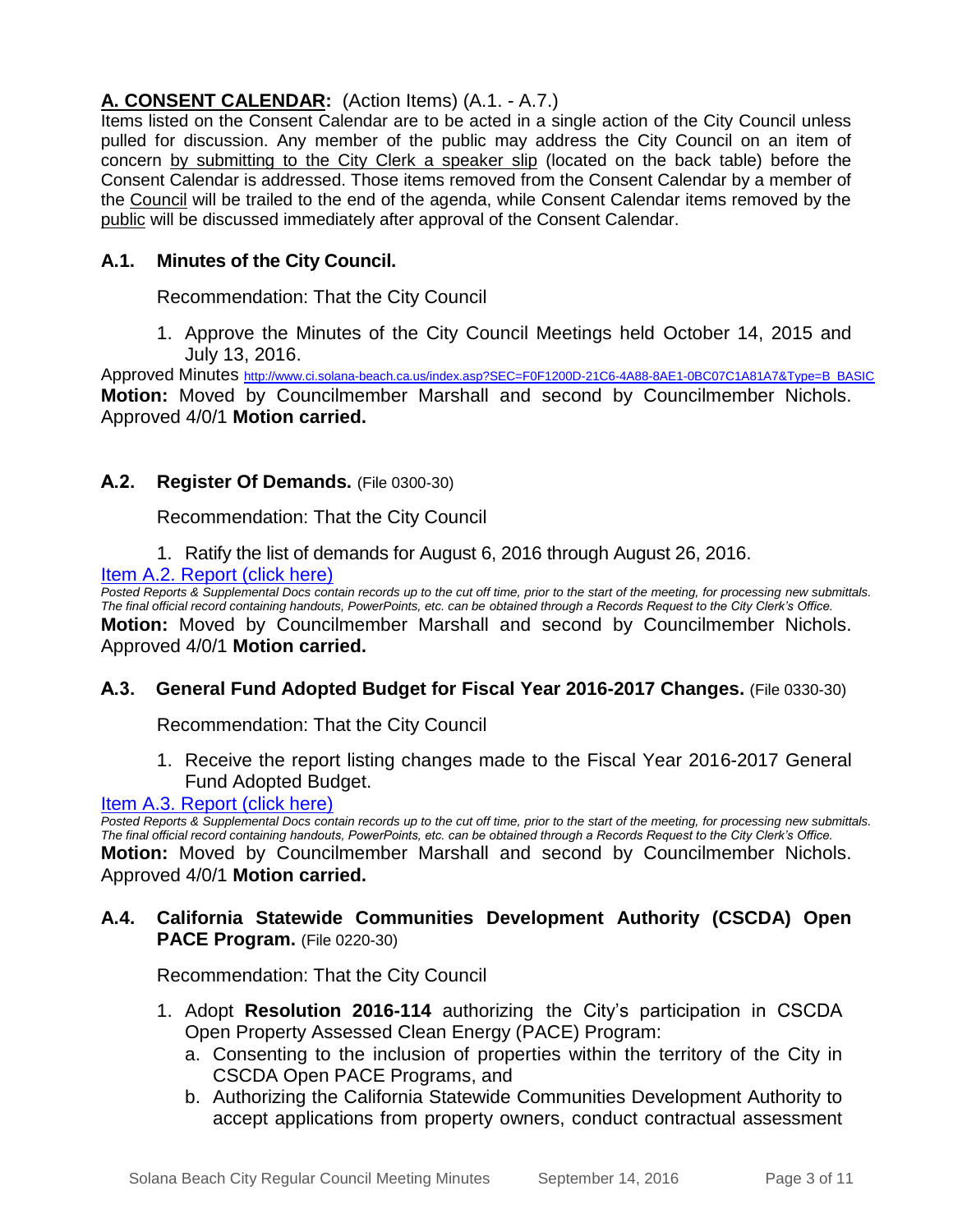# **A. CONSENT CALENDAR:** (Action Items) (A.1. - A.7.)

Items listed on the Consent Calendar are to be acted in a single action of the City Council unless pulled for discussion. Any member of the public may address the City Council on an item of concern by submitting to the City Clerk a speaker slip (located on the back table) before the Consent Calendar is addressed. Those items removed from the Consent Calendar by a member of the Council will be trailed to the end of the agenda, while Consent Calendar items removed by the public will be discussed immediately after approval of the Consent Calendar.

# **A.1. Minutes of the City Council.**

Recommendation: That the City Council

1. Approve the Minutes of the City Council Meetings held October 14, 2015 and July 13, 2016.

Approved Minutes [http://www.ci.solana-beach.ca.us/index.asp?SEC=F0F1200D-21C6-4A88-8AE1-0BC07C1A81A7&Type=B\\_BASIC](http://www.ci.solana-beach.ca.us/index.asp?SEC=F0F1200D-21C6-4A88-8AE1-0BC07C1A81A7&Type=B_BASIC) **Motion:** Moved by Councilmember Marshall and second by Councilmember Nichols. Approved 4/0/1 **Motion carried.**

# **A.2. Register Of Demands.** (File 0300-30)

Recommendation: That the City Council

1. Ratify the list of demands for August 6, 2016 through August 26, 2016.

## [Item A.2. Report \(click here\)](https://solanabeach.govoffice3.com/vertical/Sites/%7B840804C2-F869-4904-9AE3-720581350CE7%7D/uploads/Item_A.2._Report_(click_here)_09-14-16.PDF)

*Posted Reports & Supplemental Docs contain records up to the cut off time, prior to the start of the meeting, for processing new submittals. The final official record containing handouts, PowerPoints, etc. can be obtained through a Records Request to the City Clerk's Office.* **Motion:** Moved by Councilmember Marshall and second by Councilmember Nichols. Approved 4/0/1 **Motion carried.**

# **A.3. General Fund Adopted Budget for Fiscal Year 2016-2017 Changes.** (File 0330-30)

Recommendation: That the City Council

1. Receive the report listing changes made to the Fiscal Year 2016-2017 General Fund Adopted Budget.

# [Item A.3. Report \(click here\)](https://solanabeach.govoffice3.com/vertical/Sites/%7B840804C2-F869-4904-9AE3-720581350CE7%7D/uploads/Item_A.3._Report_(click_here)_09-14-16.PDF)

*Posted Reports & Supplemental Docs contain records up to the cut off time, prior to the start of the meeting, for processing new submittals. The final official record containing handouts, PowerPoints, etc. can be obtained through a Records Request to the City Clerk's Office.* **Motion:** Moved by Councilmember Marshall and second by Councilmember Nichols. Approved 4/0/1 **Motion carried.**

# **A.4. California Statewide Communities Development Authority (CSCDA) Open PACE Program.** (File 0220-30)

Recommendation: That the City Council

- 1. Adopt **Resolution 2016-114** authorizing the City's participation in CSCDA Open Property Assessed Clean Energy (PACE) Program:
	- a. Consenting to the inclusion of properties within the territory of the City in CSCDA Open PACE Programs, and
	- b. Authorizing the California Statewide Communities Development Authority to accept applications from property owners, conduct contractual assessment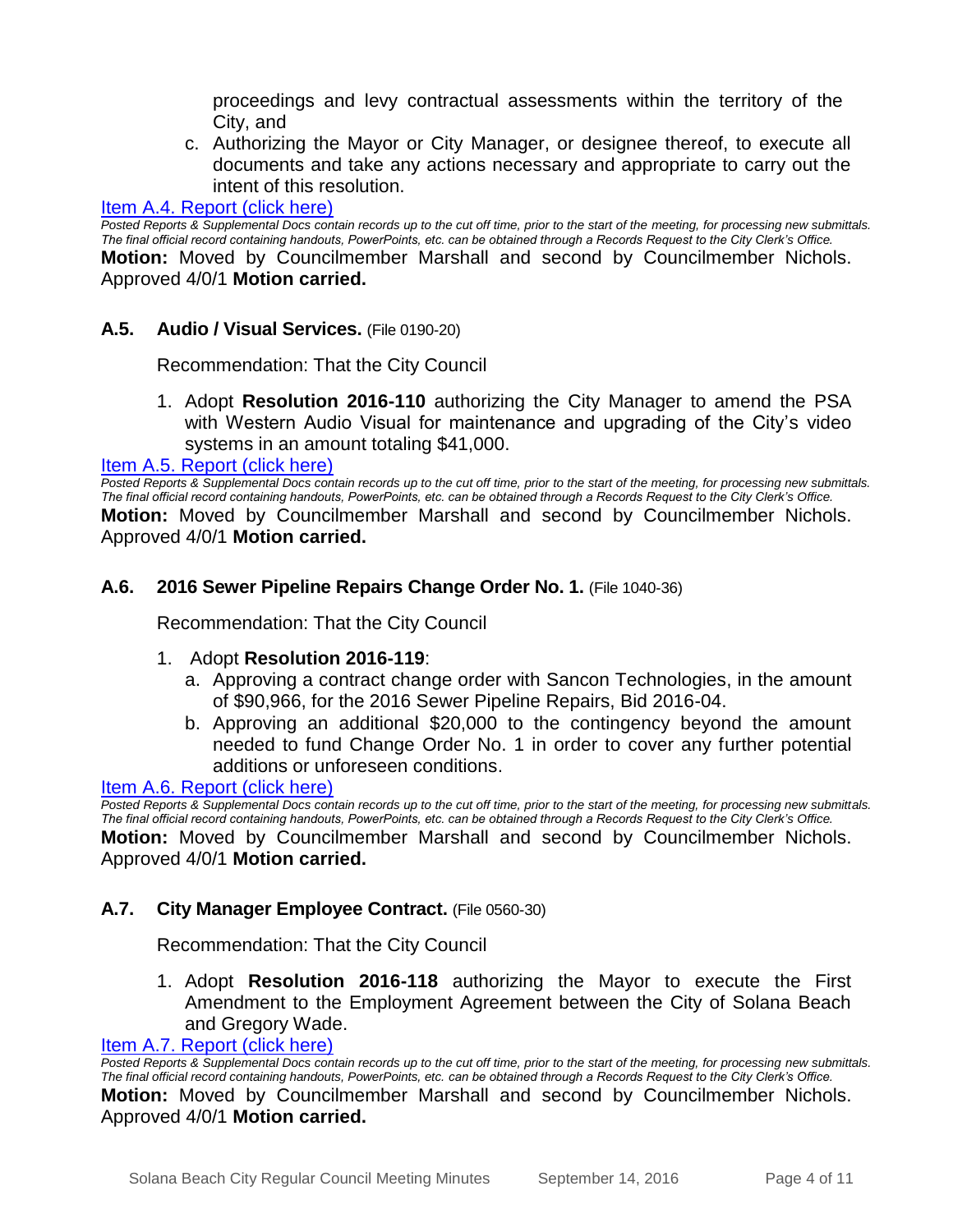proceedings and levy contractual assessments within the territory of the City, and

c. Authorizing the Mayor or City Manager, or designee thereof, to execute all documents and take any actions necessary and appropriate to carry out the intent of this resolution.

#### [Item A.4. Report \(click here\)](https://solanabeach.govoffice3.com/vertical/Sites/%7B840804C2-F869-4904-9AE3-720581350CE7%7D/uploads/Item_A.4._Report_(click_here)_09-14-16.PDF)

*Posted Reports & Supplemental Docs contain records up to the cut off time, prior to the start of the meeting, for processing new submittals. The final official record containing handouts, PowerPoints, etc. can be obtained through a Records Request to the City Clerk's Office.* **Motion:** Moved by Councilmember Marshall and second by Councilmember Nichols. Approved 4/0/1 **Motion carried.**

**A.5. Audio / Visual Services.** (File 0190-20)

Recommendation: That the City Council

1. Adopt **Resolution 2016-110** authorizing the City Manager to amend the PSA with Western Audio Visual for maintenance and upgrading of the City's video systems in an amount totaling \$41,000.

Item A.5. [Report \(click here\)](https://solanabeach.govoffice3.com/vertical/Sites/%7B840804C2-F869-4904-9AE3-720581350CE7%7D/uploads/Item_A.5._Report_(click_here)_09-14-16.PDF)

*Posted Reports & Supplemental Docs contain records up to the cut off time, prior to the start of the meeting, for processing new submittals. The final official record containing handouts, PowerPoints, etc. can be obtained through a Records Request to the City Clerk's Office.* **Motion:** Moved by Councilmember Marshall and second by Councilmember Nichols. Approved 4/0/1 **Motion carried.**

#### **A.6. 2016 Sewer Pipeline Repairs Change Order No. 1.** (File 1040-36)

Recommendation: That the City Council

#### 1. Adopt **Resolution 2016-119**:

- a. Approving a contract change order with Sancon Technologies, in the amount of \$90,966, for the 2016 Sewer Pipeline Repairs, Bid 2016-04.
- b. Approving an additional \$20,000 to the contingency beyond the amount needed to fund Change Order No. 1 in order to cover any further potential additions or unforeseen conditions.

[Item A.6. Report \(click here\)](https://solanabeach.govoffice3.com/vertical/Sites/%7B840804C2-F869-4904-9AE3-720581350CE7%7D/uploads/Item_A.6._Report_(click_here)_09-14-16.PDF)

*Posted Reports & Supplemental Docs contain records up to the cut off time, prior to the start of the meeting, for processing new submittals. The final official record containing handouts, PowerPoints, etc. can be obtained through a Records Request to the City Clerk's Office.* **Motion:** Moved by Councilmember Marshall and second by Councilmember Nichols. Approved 4/0/1 **Motion carried.**

# **A.7. City Manager Employee Contract.** (File 0560-30)

Recommendation: That the City Council

1. Adopt **Resolution 2016-118** authorizing the Mayor to execute the First Amendment to the Employment Agreement between the City of Solana Beach and Gregory Wade.

[Item A.7. Report \(click here\)](https://solanabeach.govoffice3.com/vertical/Sites/%7B840804C2-F869-4904-9AE3-720581350CE7%7D/uploads/Item_A.7._Report_(click_here)_09-14-16.PDF)

*Posted Reports & Supplemental Docs contain records up to the cut off time, prior to the start of the meeting, for processing new submittals. The final official record containing handouts, PowerPoints, etc. can be obtained through a Records Request to the City Clerk's Office.* **Motion:** Moved by Councilmember Marshall and second by Councilmember Nichols. Approved 4/0/1 **Motion carried.**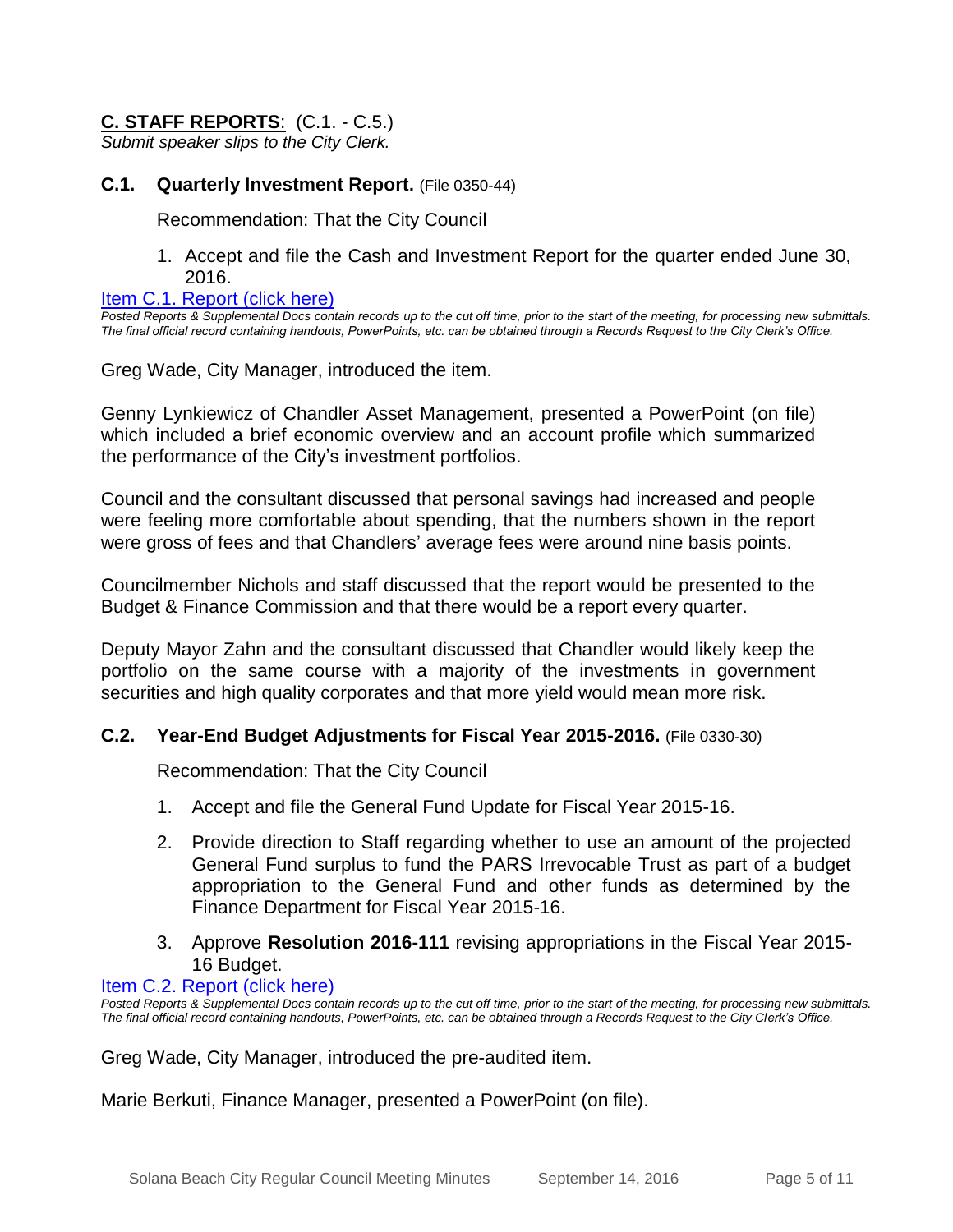# **C. STAFF REPORTS**: (C.1. - C.5.)

*Submit speaker slips to the City Clerk.*

#### **C.1. Quarterly Investment Report.** (File 0350-44)

Recommendation: That the City Council

1. Accept and file the Cash and Investment Report for the quarter ended June 30, 2016.

[Item C.1. Report \(click here\)](https://solanabeach.govoffice3.com/vertical/Sites/%7B840804C2-F869-4904-9AE3-720581350CE7%7D/uploads/Item_C.1._Report_(click_here)_09-14-16.PDF)

*Posted Reports & Supplemental Docs contain records up to the cut off time, prior to the start of the meeting, for processing new submittals. The final official record containing handouts, PowerPoints, etc. can be obtained through a Records Request to the City Clerk's Office.*

Greg Wade, City Manager, introduced the item.

Genny Lynkiewicz of Chandler Asset Management, presented a PowerPoint (on file) which included a brief economic overview and an account profile which summarized the performance of the City's investment portfolios.

Council and the consultant discussed that personal savings had increased and people were feeling more comfortable about spending, that the numbers shown in the report were gross of fees and that Chandlers' average fees were around nine basis points.

Councilmember Nichols and staff discussed that the report would be presented to the Budget & Finance Commission and that there would be a report every quarter.

Deputy Mayor Zahn and the consultant discussed that Chandler would likely keep the portfolio on the same course with a majority of the investments in government securities and high quality corporates and that more yield would mean more risk.

#### **C.2. Year-End Budget Adjustments for Fiscal Year 2015-2016.** (File 0330-30)

Recommendation: That the City Council

- 1. Accept and file the General Fund Update for Fiscal Year 2015-16.
- 2. Provide direction to Staff regarding whether to use an amount of the projected General Fund surplus to fund the PARS Irrevocable Trust as part of a budget appropriation to the General Fund and other funds as determined by the Finance Department for Fiscal Year 2015-16.
- 3. Approve **Resolution 2016-111** revising appropriations in the Fiscal Year 2015- 16 Budget.

[Item C.2. Report \(click here\)](https://solanabeach.govoffice3.com/vertical/Sites/%7B840804C2-F869-4904-9AE3-720581350CE7%7D/uploads/Item_C.2._Report_(click_here)_09-14-16.PDF)

*Posted Reports & Supplemental Docs contain records up to the cut off time, prior to the start of the meeting, for processing new submittals. The final official record containing handouts, PowerPoints, etc. can be obtained through a Records Request to the City Clerk's Office.*

Greg Wade, City Manager, introduced the pre-audited item.

Marie Berkuti, Finance Manager, presented a PowerPoint (on file).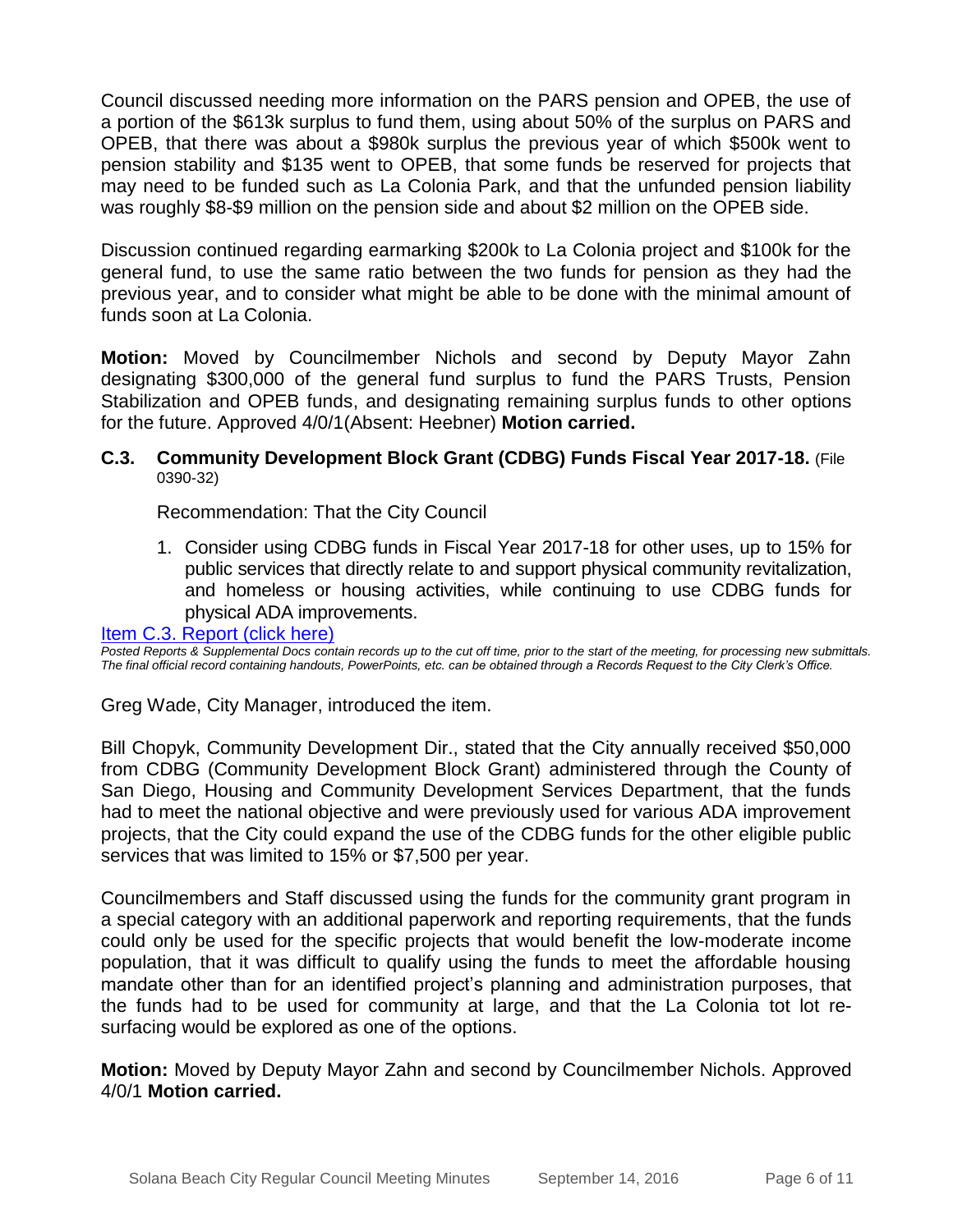Council discussed needing more information on the PARS pension and OPEB, the use of a portion of the \$613k surplus to fund them, using about 50% of the surplus on PARS and OPEB, that there was about a \$980k surplus the previous year of which \$500k went to pension stability and \$135 went to OPEB, that some funds be reserved for projects that may need to be funded such as La Colonia Park, and that the unfunded pension liability was roughly \$8-\$9 million on the pension side and about \$2 million on the OPEB side.

Discussion continued regarding earmarking \$200k to La Colonia project and \$100k for the general fund, to use the same ratio between the two funds for pension as they had the previous year, and to consider what might be able to be done with the minimal amount of funds soon at La Colonia.

**Motion:** Moved by Councilmember Nichols and second by Deputy Mayor Zahn designating \$300,000 of the general fund surplus to fund the PARS Trusts, Pension Stabilization and OPEB funds, and designating remaining surplus funds to other options for the future. Approved 4/0/1(Absent: Heebner) **Motion carried.**

#### **C.3. Community Development Block Grant (CDBG) Funds Fiscal Year 2017-18.** (File 0390-32)

Recommendation: That the City Council

1. Consider using CDBG funds in Fiscal Year 2017-18 for other uses, up to 15% for public services that directly relate to and support physical community revitalization, and homeless or housing activities, while continuing to use CDBG funds for physical ADA improvements.

## [Item C.3. Report \(click here\)](https://solanabeach.govoffice3.com/vertical/Sites/%7B840804C2-F869-4904-9AE3-720581350CE7%7D/uploads/Item_C.3._Report_(click_here)_09-14-16.PDF)

*Posted Reports & Supplemental Docs contain records up to the cut off time, prior to the start of the meeting, for processing new submittals. The final official record containing handouts, PowerPoints, etc. can be obtained through a Records Request to the City Clerk's Office.*

Greg Wade, City Manager, introduced the item.

Bill Chopyk, Community Development Dir., stated that the City annually received \$50,000 from CDBG (Community Development Block Grant) administered through the County of San Diego, Housing and Community Development Services Department, that the funds had to meet the national objective and were previously used for various ADA improvement projects, that the City could expand the use of the CDBG funds for the other eligible public services that was limited to 15% or \$7,500 per year.

Councilmembers and Staff discussed using the funds for the community grant program in a special category with an additional paperwork and reporting requirements, that the funds could only be used for the specific projects that would benefit the low-moderate income population, that it was difficult to qualify using the funds to meet the affordable housing mandate other than for an identified project's planning and administration purposes, that the funds had to be used for community at large, and that the La Colonia tot lot resurfacing would be explored as one of the options.

**Motion:** Moved by Deputy Mayor Zahn and second by Councilmember Nichols. Approved 4/0/1 **Motion carried.**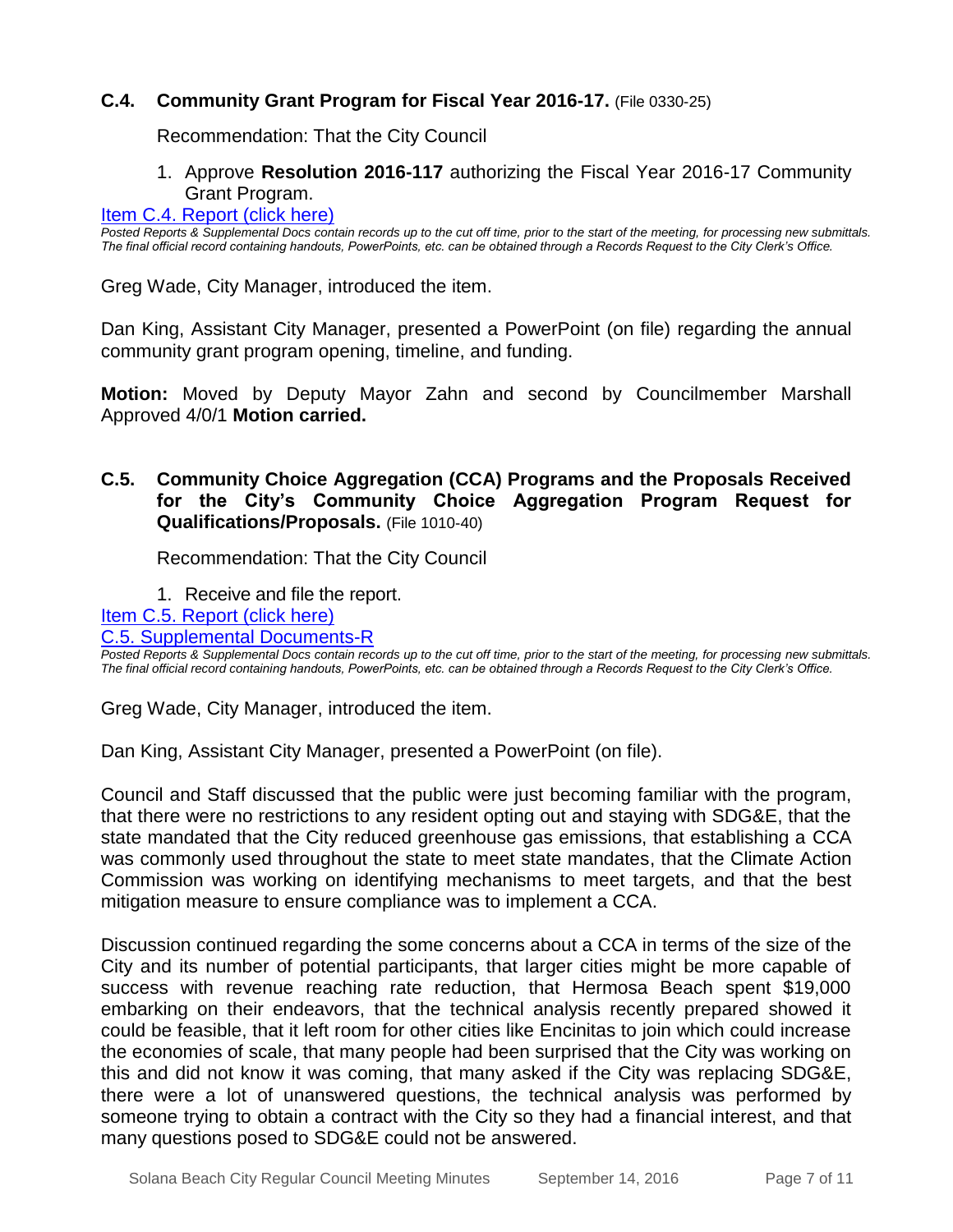# **C.4. Community Grant Program for Fiscal Year 2016-17.** (File 0330-25)

Recommendation: That the City Council

#### 1. Approve **Resolution 2016-117** authorizing the Fiscal Year 2016-17 Community Grant Program.

#### [Item C.4. Report \(click here\)](https://solanabeach.govoffice3.com/vertical/Sites/%7B840804C2-F869-4904-9AE3-720581350CE7%7D/uploads/Item_C.4._Report_(click_here)_09-14-16.PDF)

*Posted Reports & Supplemental Docs contain records up to the cut off time, prior to the start of the meeting, for processing new submittals. The final official record containing handouts, PowerPoints, etc. can be obtained through a Records Request to the City Clerk's Office.*

Greg Wade, City Manager, introduced the item.

Dan King, Assistant City Manager, presented a PowerPoint (on file) regarding the annual community grant program opening, timeline, and funding.

**Motion:** Moved by Deputy Mayor Zahn and second by Councilmember Marshall Approved 4/0/1 **Motion carried.**

## **C.5. Community Choice Aggregation (CCA) Programs and the Proposals Received for the City's Community Choice Aggregation Program Request for Qualifications/Proposals.** (File 1010-40)

Recommendation: That the City Council

1. Receive and file the report.

[Item C.5. Report \(click here\)](https://solanabeach.govoffice3.com/vertical/Sites/%7B840804C2-F869-4904-9AE3-720581350CE7%7D/uploads/Item_C.5._Report_(click_here)_09-14-16.pdf)

[C.5. Supplemental Documents-R](https://solanabeach.govoffice3.com/vertical/Sites/%7B840804C2-F869-4904-9AE3-720581350CE7%7D/uploads/C.5._Supplemental_Documents_-_R_9-14-16.pdf)

*Posted Reports & Supplemental Docs contain records up to the cut off time, prior to the start of the meeting, for processing new submittals. The final official record containing handouts, PowerPoints, etc. can be obtained through a Records Request to the City Clerk's Office.*

Greg Wade, City Manager, introduced the item.

Dan King, Assistant City Manager, presented a PowerPoint (on file).

Council and Staff discussed that the public were just becoming familiar with the program, that there were no restrictions to any resident opting out and staying with SDG&E, that the state mandated that the City reduced greenhouse gas emissions, that establishing a CCA was commonly used throughout the state to meet state mandates, that the Climate Action Commission was working on identifying mechanisms to meet targets, and that the best mitigation measure to ensure compliance was to implement a CCA.

Discussion continued regarding the some concerns about a CCA in terms of the size of the City and its number of potential participants, that larger cities might be more capable of success with revenue reaching rate reduction, that Hermosa Beach spent \$19,000 embarking on their endeavors, that the technical analysis recently prepared showed it could be feasible, that it left room for other cities like Encinitas to join which could increase the economies of scale, that many people had been surprised that the City was working on this and did not know it was coming, that many asked if the City was replacing SDG&E, there were a lot of unanswered questions, the technical analysis was performed by someone trying to obtain a contract with the City so they had a financial interest, and that many questions posed to SDG&E could not be answered.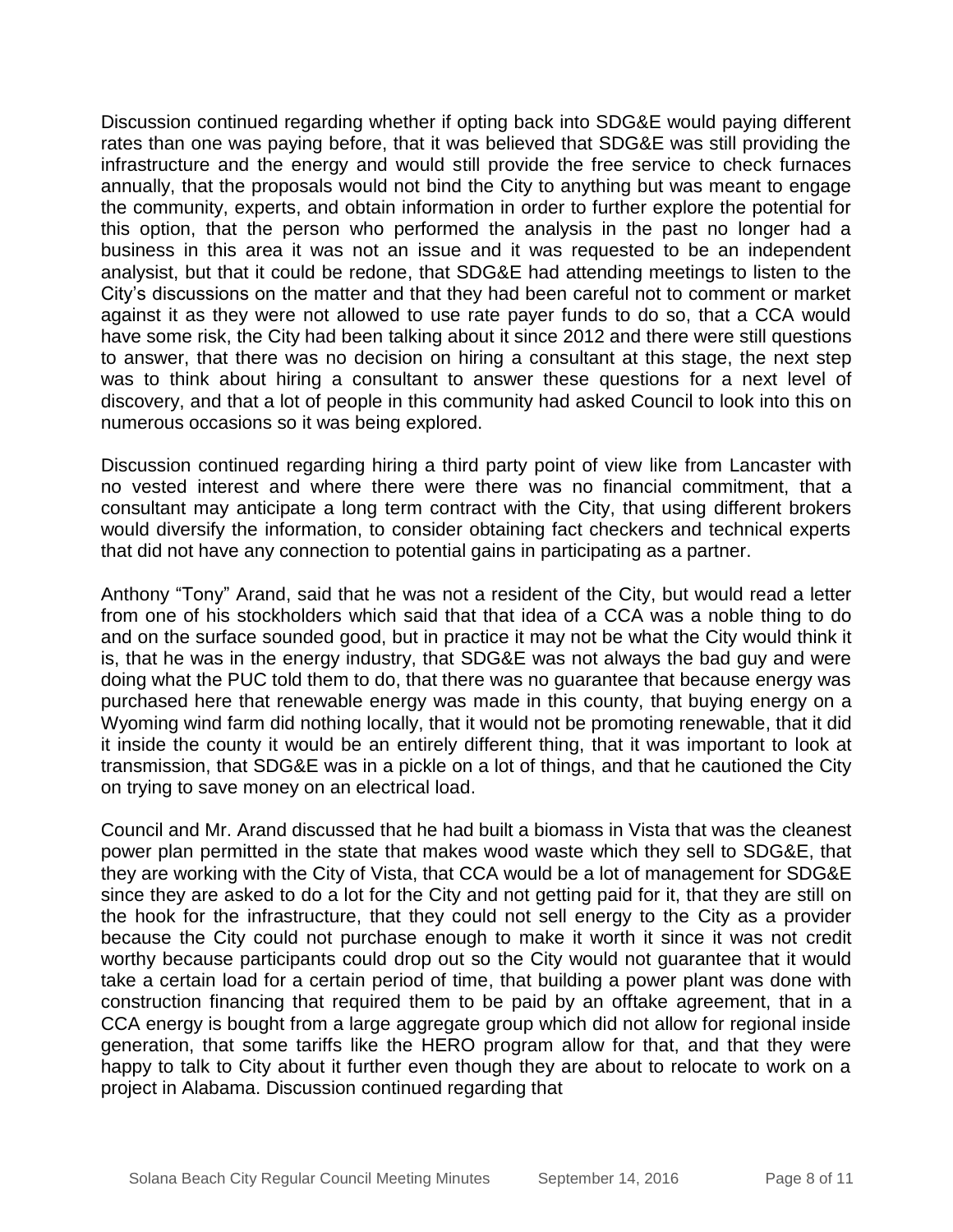Discussion continued regarding whether if opting back into SDG&E would paying different rates than one was paying before, that it was believed that SDG&E was still providing the infrastructure and the energy and would still provide the free service to check furnaces annually, that the proposals would not bind the City to anything but was meant to engage the community, experts, and obtain information in order to further explore the potential for this option, that the person who performed the analysis in the past no longer had a business in this area it was not an issue and it was requested to be an independent analysist, but that it could be redone, that SDG&E had attending meetings to listen to the City's discussions on the matter and that they had been careful not to comment or market against it as they were not allowed to use rate payer funds to do so, that a CCA would have some risk, the City had been talking about it since 2012 and there were still questions to answer, that there was no decision on hiring a consultant at this stage, the next step was to think about hiring a consultant to answer these questions for a next level of discovery, and that a lot of people in this community had asked Council to look into this on numerous occasions so it was being explored.

Discussion continued regarding hiring a third party point of view like from Lancaster with no vested interest and where there were there was no financial commitment, that a consultant may anticipate a long term contract with the City, that using different brokers would diversify the information, to consider obtaining fact checkers and technical experts that did not have any connection to potential gains in participating as a partner.

Anthony "Tony" Arand, said that he was not a resident of the City, but would read a letter from one of his stockholders which said that that idea of a CCA was a noble thing to do and on the surface sounded good, but in practice it may not be what the City would think it is, that he was in the energy industry, that SDG&E was not always the bad guy and were doing what the PUC told them to do, that there was no guarantee that because energy was purchased here that renewable energy was made in this county, that buying energy on a Wyoming wind farm did nothing locally, that it would not be promoting renewable, that it did it inside the county it would be an entirely different thing, that it was important to look at transmission, that SDG&E was in a pickle on a lot of things, and that he cautioned the City on trying to save money on an electrical load.

Council and Mr. Arand discussed that he had built a biomass in Vista that was the cleanest power plan permitted in the state that makes wood waste which they sell to SDG&E, that they are working with the City of Vista, that CCA would be a lot of management for SDG&E since they are asked to do a lot for the City and not getting paid for it, that they are still on the hook for the infrastructure, that they could not sell energy to the City as a provider because the City could not purchase enough to make it worth it since it was not credit worthy because participants could drop out so the City would not guarantee that it would take a certain load for a certain period of time, that building a power plant was done with construction financing that required them to be paid by an offtake agreement, that in a CCA energy is bought from a large aggregate group which did not allow for regional inside generation, that some tariffs like the HERO program allow for that, and that they were happy to talk to City about it further even though they are about to relocate to work on a project in Alabama. Discussion continued regarding that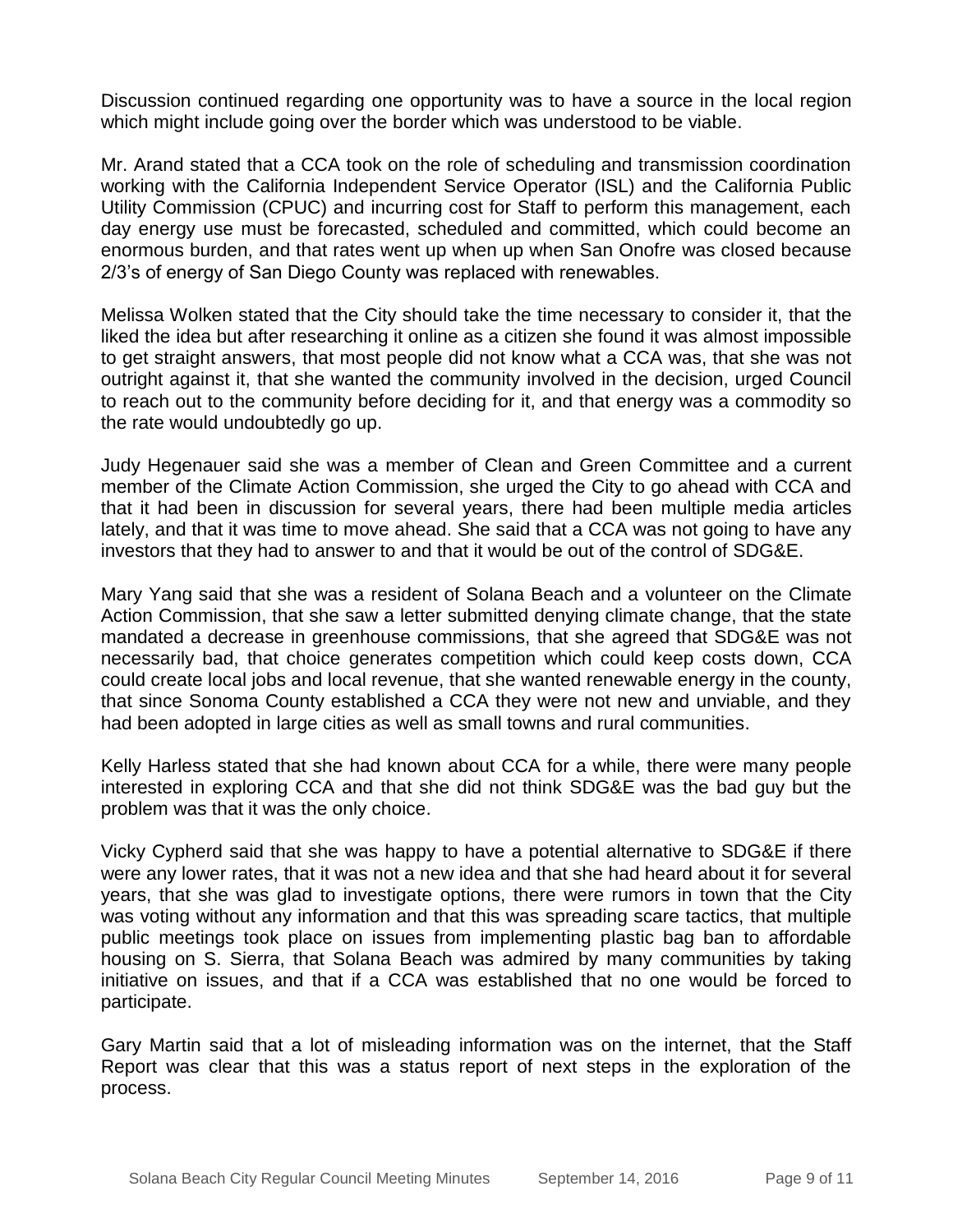Discussion continued regarding one opportunity was to have a source in the local region which might include going over the border which was understood to be viable.

Mr. Arand stated that a CCA took on the role of scheduling and transmission coordination working with the California Independent Service Operator (ISL) and the California Public Utility Commission (CPUC) and incurring cost for Staff to perform this management, each day energy use must be forecasted, scheduled and committed, which could become an enormous burden, and that rates went up when up when San Onofre was closed because 2/3's of energy of San Diego County was replaced with renewables.

Melissa Wolken stated that the City should take the time necessary to consider it, that the liked the idea but after researching it online as a citizen she found it was almost impossible to get straight answers, that most people did not know what a CCA was, that she was not outright against it, that she wanted the community involved in the decision, urged Council to reach out to the community before deciding for it, and that energy was a commodity so the rate would undoubtedly go up.

Judy Hegenauer said she was a member of Clean and Green Committee and a current member of the Climate Action Commission, she urged the City to go ahead with CCA and that it had been in discussion for several years, there had been multiple media articles lately, and that it was time to move ahead. She said that a CCA was not going to have any investors that they had to answer to and that it would be out of the control of SDG&E.

Mary Yang said that she was a resident of Solana Beach and a volunteer on the Climate Action Commission, that she saw a letter submitted denying climate change, that the state mandated a decrease in greenhouse commissions, that she agreed that SDG&E was not necessarily bad, that choice generates competition which could keep costs down, CCA could create local jobs and local revenue, that she wanted renewable energy in the county, that since Sonoma County established a CCA they were not new and unviable, and they had been adopted in large cities as well as small towns and rural communities.

Kelly Harless stated that she had known about CCA for a while, there were many people interested in exploring CCA and that she did not think SDG&E was the bad guy but the problem was that it was the only choice.

Vicky Cypherd said that she was happy to have a potential alternative to SDG&E if there were any lower rates, that it was not a new idea and that she had heard about it for several years, that she was glad to investigate options, there were rumors in town that the City was voting without any information and that this was spreading scare tactics, that multiple public meetings took place on issues from implementing plastic bag ban to affordable housing on S. Sierra, that Solana Beach was admired by many communities by taking initiative on issues, and that if a CCA was established that no one would be forced to participate.

Gary Martin said that a lot of misleading information was on the internet, that the Staff Report was clear that this was a status report of next steps in the exploration of the process.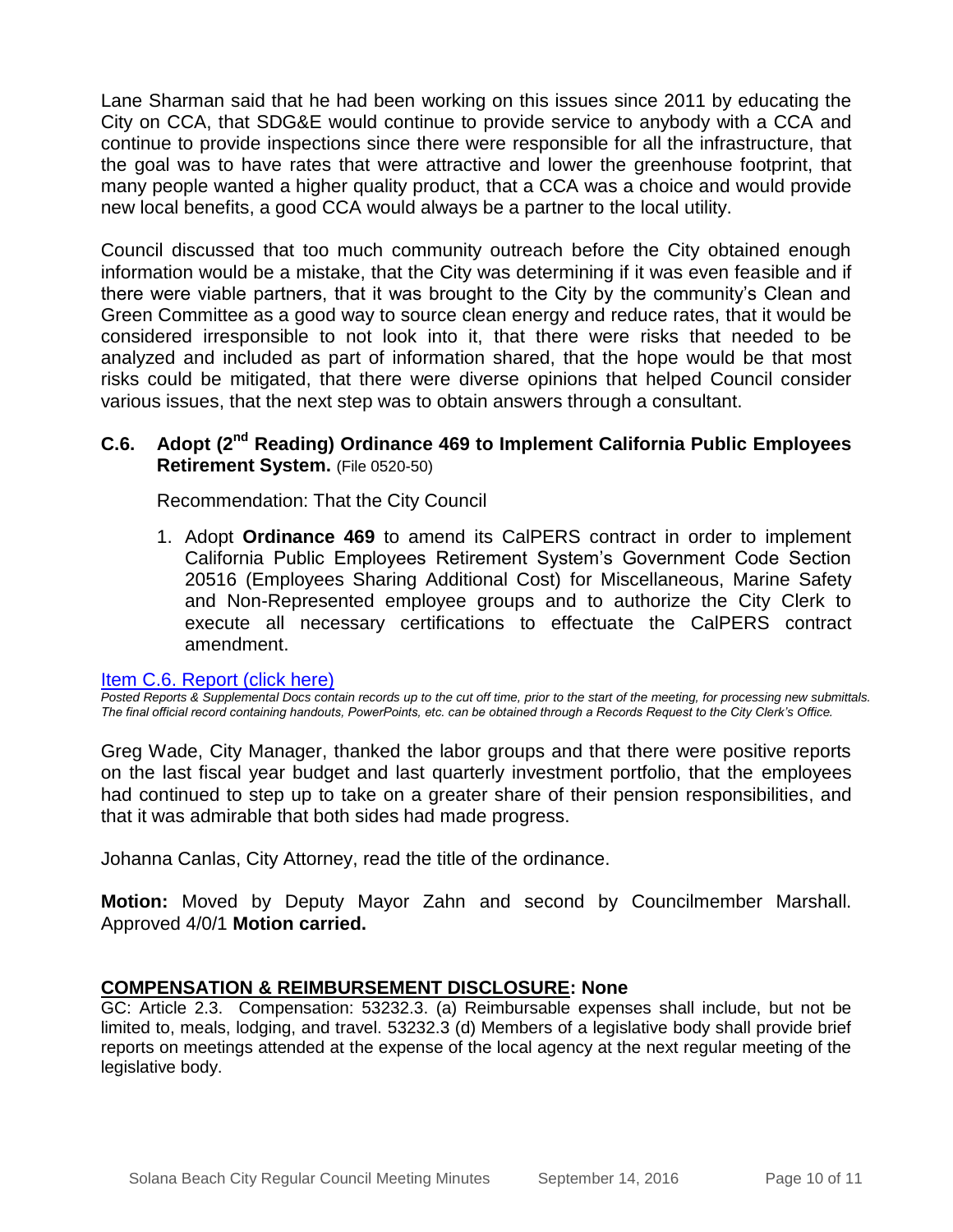Lane Sharman said that he had been working on this issues since 2011 by educating the City on CCA, that SDG&E would continue to provide service to anybody with a CCA and continue to provide inspections since there were responsible for all the infrastructure, that the goal was to have rates that were attractive and lower the greenhouse footprint, that many people wanted a higher quality product, that a CCA was a choice and would provide new local benefits, a good CCA would always be a partner to the local utility.

Council discussed that too much community outreach before the City obtained enough information would be a mistake, that the City was determining if it was even feasible and if there were viable partners, that it was brought to the City by the community's Clean and Green Committee as a good way to source clean energy and reduce rates, that it would be considered irresponsible to not look into it, that there were risks that needed to be analyzed and included as part of information shared, that the hope would be that most risks could be mitigated, that there were diverse opinions that helped Council consider various issues, that the next step was to obtain answers through a consultant.

#### **C.6. Adopt (2nd Reading) Ordinance 469 to Implement California Public Employees Retirement System.** (File 0520-50)

Recommendation: That the City Council

1. Adopt **Ordinance 469** to amend its CalPERS contract in order to implement California Public Employees Retirement System's Government Code Section 20516 (Employees Sharing Additional Cost) for Miscellaneous, Marine Safety and Non-Represented employee groups and to authorize the City Clerk to execute all necessary certifications to effectuate the CalPERS contract amendment.

#### [Item C.6. Report \(click here\)](https://solanabeach.govoffice3.com/vertical/Sites/%7B840804C2-F869-4904-9AE3-720581350CE7%7D/uploads/Item_C.6._Report_(click_here)_09-14-16.PDF)

*Posted Reports & Supplemental Docs contain records up to the cut off time, prior to the start of the meeting, for processing new submittals. The final official record containing handouts, PowerPoints, etc. can be obtained through a Records Request to the City Clerk's Office.*

Greg Wade, City Manager, thanked the labor groups and that there were positive reports on the last fiscal year budget and last quarterly investment portfolio, that the employees had continued to step up to take on a greater share of their pension responsibilities, and that it was admirable that both sides had made progress.

Johanna Canlas, City Attorney, read the title of the ordinance.

**Motion:** Moved by Deputy Mayor Zahn and second by Councilmember Marshall. Approved 4/0/1 **Motion carried.**

#### **COMPENSATION & REIMBURSEMENT DISCLOSURE: None**

GC: Article 2.3. Compensation: 53232.3. (a) Reimbursable expenses shall include, but not be limited to, meals, lodging, and travel. 53232.3 (d) Members of a legislative body shall provide brief reports on meetings attended at the expense of the local agency at the next regular meeting of the legislative body.